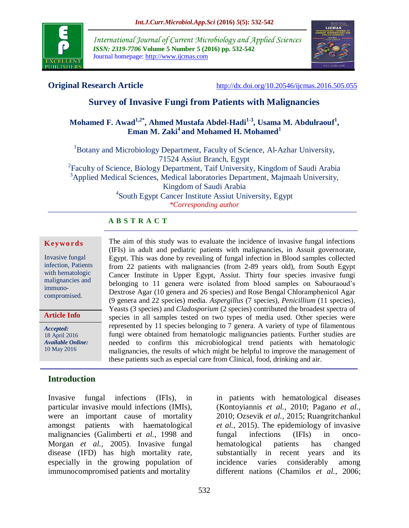

*International Journal of Current Microbiology and Applied Sciences ISSN: 2319-7706* **Volume 5 Number 5 (2016) pp. 532-542** Journal homepage: http://www.ijcmas.com



**Original Research Article** <http://dx.doi.org/10.20546/ijcmas.2016.505.055>

# **Survey of Invasive Fungi from Patients with Malignancies**

# **Mohamed F. Awad1,2\* , Ahmed Mustafa Abdel-Hadi1-3 , Usama M. Abdulraouf<sup>1</sup> , Eman M. Zaki<sup>4</sup> and Mohamed H. Mohamed<sup>1</sup>**

<sup>1</sup>Botany and Microbiology Department, Faculty of Science, Al-Azhar University, 71524 Assiut Branch, Egypt <sup>2</sup> Faculty of Science, Biology Department, Taif University, Kingdom of Saudi Arabia <sup>3</sup>Applied Medical Sciences, Medical laboratories Department, Majmaah University, Kingdom of Saudi Arabia 4 South Egypt Cancer Institute Assiut University, Egypt *\*Corresponding author*

> The aim of this study was to evaluate the incidence of invasive fungal infections (IFIs) in adult and pediatric patients with malignancies, in Assuit governorate, Egypt. This was done by revealing of fungal infection in Blood samples collected from 22 patients with malignancies (from 2-89 years old), from South Egypt Cancer Institute in Upper Egypt, Assiut. Thirty four species invasive fungi belonging to 11 genera were isolated from blood samples on Sabouraoud's Dextrose Agar (10 genera and 26 species) and Rose Bengal Chloramphenicol Agar (9 genera and 22 species) media. *Aspergillus* (7 species), *Penicillium* (11 species), Yeasts (3 species) and *Cladosporium* (2 species) contributed the broadest spectra of species in all samples tested on two types of media used. Other species were represented by 11 species belonging to 7 genera. A variety of type of filamentous fungi were obtained from hematologic malignancies patients. Further studies are needed to confirm this microbiological trend patients with hematologic malignancies, the results of which might be helpful to improve the management of

#### **A B S T R A C T**

#### **K ey w o rd s**

Invasive fungal infection, Patients with hematologic malignancies and immunocompromised.

**Article Info**

*Accepted:*  18 April 2016 *Available Online:* 10 May 2016

#### **Introduction**

Invasive fungal infections (IFIs), in particular invasive mould infections (IMIs), were an important cause of mortality amongst patients with haematological malignancies (Galimberti *et al.,* 1998 and Morgan *et al.,* 2005). Invasive fungal disease (IFD) has high mortality rate, especially in the growing population of immunocompromised patients and mortality

in patients with hematological diseases (Kontoyiannis *et al.,* 2010; Pagano *et al.,* 2010; Ozsevik *et al.,* 2015; Ruangritchankul *et al.,* 2015). The epidemiology of invasive fungal infections (IFIs) in oncohematological patients has changed substantially in recent years and its incidence varies considerably among different nations (Chamilos *et al.,* 2006;

these patients such as especial care from Clinical, food, drinking and air.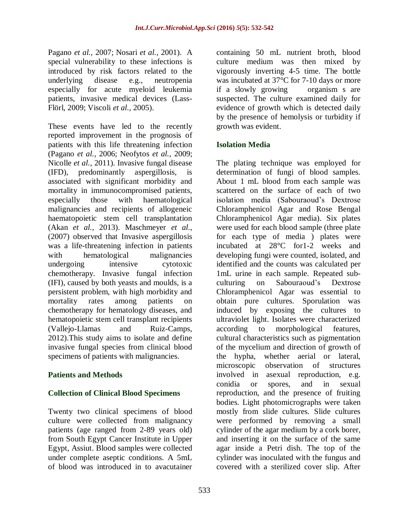Pagano *et al.,* 2007; Nosari *et al.,* 2001). A special vulnerability to these infections is introduced by risk factors related to the underlying disease e.g., neutropenia especially for acute myeloid leukemia patients, invasive medical devices (Lass-Flörl, 2009; Viscoli *et al.,* 2005).

These events have led to the recently reported improvement in the prognosis of patients with this life threatening infection (Pagano *et al.,* 2006; Neofytos *et al.,* 2009; Nicolle *et al.,* 2011). Invasive fungal disease (IFD), predominantly aspergillosis, is associated with significant morbidity and mortality in immunocompromised patients, especially those with haematological malignancies and recipients of allogeneic haematopoietic stem cell transplantation (Akan *et al.,* 2013). Maschmeyer *et al.,* (2007) observed that Invasive aspergillosis was a life-threatening infection in patients with hematological malignancies undergoing intensive cytotoxic chemotherapy. Invasive fungal infection (IFI), caused by both yeasts and moulds, is a persistent problem, with high morbidity and mortality rates among patients on chemotherapy for hematology diseases, and hematopoietic stem cell transplant recipients (Vallejo-Llamas and Ruiz-Camps, 2012).This study aims to isolate and define invasive fungal species from clinical blood specimens of patients with malignancies.

# **Patients and Methods**

#### **Collection of Clinical Blood Specimens**

Twenty two clinical specimens of blood culture were collected from malignancy patients (age ranged from 2-89 years old) from South Egypt Cancer Institute in Upper Egypt, Assiut. Blood samples were collected under complete aseptic conditions. A 5mL of blood was introduced in to avacutainer

containing 50 mL nutrient broth, blood culture medium was then mixed by vigorously inverting 4-5 time. The bottle was incubated at 37°C for 7-10 days or more if a slowly growing organism s are suspected. The culture examined daily for evidence of growth which is detected daily by the presence of hemolysis or turbidity if growth was evident.

## **Isolation Media**

The plating technique was employed for determination of fungi of blood samples. About 1 mL blood from each sample was scattered on the surface of each of two isolation media (Sabouraoud's Dextrose Chloramphenicol Agar and Rose Bengal Chloramphenicol Agar media). Six plates were used for each blood sample (three plate for each type of media ) plates were incubated at 28°C for1-2 weeks and developing fungi were counted, isolated, and identified and the counts was calculated per 1mL urine in each sample. Repeated subculturing on Sabouraoud's Dextrose Chloramphenicol Agar was essential to obtain pure cultures. Sporulation was induced by exposing the cultures to ultraviolet light. Isolates were characterized according to morphological features, cultural characteristics such as pigmentation of the mycelium and direction of growth of the hypha, whether aerial or lateral, microscopic observation of structures involved in asexual reproduction, e.g. conidia or spores, and in sexual reproduction, and the presence of fruiting bodies. Light photomicrographs were taken mostly from slide cultures. Slide cultures were performed by removing a small cylinder of the agar medium by a cork borer, and inserting it on the surface of the same agar inside a Petri dish. The top of the cylinder was inoculated with the fungus and covered with a sterilized cover slip. After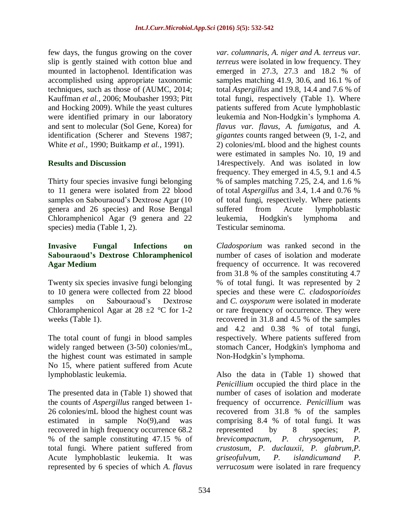few days, the fungus growing on the cover slip is gently stained with cotton blue and mounted in lactophenol. Identification was accomplished using appropriate taxonomic techniques, such as those of (AUMC, 2014; Kauffman *et al.,* 2006; Moubasher 1993; Pitt and Hocking 2009). While the yeast cultures were identified primary in our laboratory and sent to molecular (Sol Gene, Korea) for identification (Scherer and Stevens 1987; White *et al.,* 1990; Buitkamp *et al.,* 1991).

#### **Results and Discussion**

Thirty four species invasive fungi belonging to 11 genera were isolated from 22 blood samples on Sabouraoud's Dextrose Agar (10 genera and 26 species) and Rose Bengal Chloramphenicol Agar (9 genera and 22 species) media (Table 1, 2).

#### **Invasive Fungal Infections on Sabouraoud's Dextrose Chloramphenicol Agar Medium**

Twenty six species invasive fungi belonging to 10 genera were collected from 22 blood samples on Sabouraoud's Dextrose Chloramphenicol Agar at  $28 \pm 2$  °C for 1-2 weeks (Table 1).

The total count of fungi in blood samples widely ranged between (3-50) colonies/mL, the highest count was estimated in sample No 15, where patient suffered from Acute lymphoblastic leukemia.

The presented data in (Table 1) showed that the counts of *Aspergillus* ranged between 1- 26 colonies/mL blood the highest count was estimated in sample No(9),and was recovered in high frequency occurrence 68.2 % of the sample constituting 47.15 % of total fungi. Where patient suffered from Acute lymphoblastic leukemia. It was represented by 6 species of which *A. flavus* 

*var. columnaris, A. niger and A. terreus var. terreus* were isolated in low frequency. They emerged in 27.3, 27.3 and 18.2 % of samples matching 41.9, 30.6, and 16.1 % of total *Aspergillus* and 19.8, 14.4 and 7.6 % of total fungi, respectively (Table 1). Where patients suffered from Acute lymphoblastic leukemia and Non-Hodgkin's lymphoma *A. flavus var. flavus, A. fumigatus*, and *A. gigantes* counts ranged between (9, 1-2, and 2) colonies/mL blood and the highest counts were estimated in samples No. 10, 19 and 14respectively. And was isolated in low frequency. They emerged in 4.5, 9.1 and 4.5 % of samples matching 7.25, 2.4, and 1.6 % of total *Aspergillus* and 3.4, 1.4 and 0.76 % of total fungi, respectively. Where patients suffered from Acute lymphoblastic leukemia, Hodgkin's lymphoma and Testicular seminoma.

*Cladosporium* was ranked second in the number of cases of isolation and moderate frequency of occurrence. It was recovered from 31.8 % of the samples constituting 4.7 % of total fungi. It was represented by 2 species and these were *C. cladosporioides* and *C. oxysporum* were isolated in moderate or rare frequency of occurrence. They were recovered in 31.8 and 4.5 % of the samples and 4.2 and 0.38 % of total fungi, respectively. Where patients suffered from stomach Cancer, Hodgkin's lymphoma and Non-Hodgkin's lymphoma.

Also the data in (Table 1) showed that *Penicillium* occupied the third place in the number of cases of isolation and moderate frequency of occurrence. *Penicillium* was recovered from 31.8 % of the samples comprising 8.4 % of total fungi. It was represented by 8 species; *P. brevicompactum, P. chrysogenum, P. crustosum, P. duclauxii, P. glabrum,P. griseofulvum, P. islandicumand P. verrucosum* were isolated in rare frequency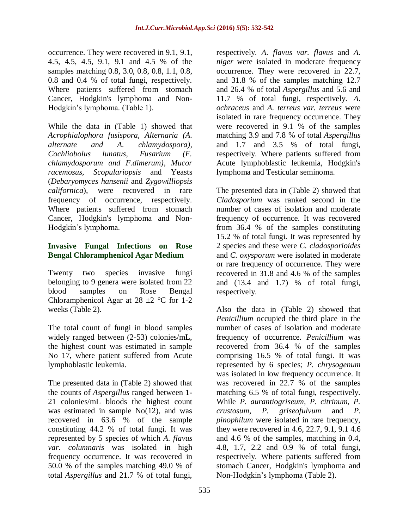occurrence. They were recovered in 9.1, 9.1, 4.5, 4.5, 4.5, 9.1, 9.1 and 4.5 % of the samples matching 0.8, 3.0, 0.8, 0.8, 1.1, 0.8, 0.8 and 0.4 % of total fungi, respectively. Where patients suffered from stomach Cancer, Hodgkin's lymphoma and Non-Hodgkin's lymphoma. (Table 1).

While the data in (Table 1) showed that *Acrophialophora fusispora, Alternaria (A. alternate and A. chlamydospora), Cochliobolus lunatus, Fusarium (F. chlamydosporum and F.dimerum), Mucor racemosus, Scopulariopsis* and Yeasts (*Debaryomyces hansenii* and *Zygowilliopsis californica*), were recovered in rare frequency of occurrence, respectively. Where patients suffered from stomach Cancer, Hodgkin's lymphoma and Non-Hodgkin's lymphoma.

## **Invasive Fungal Infections on Rose Bengal Chloramphenicol Agar Medium**

Twenty two species invasive fungi belonging to 9 genera were isolated from 22 blood samples on Rose Bengal Chloramphenicol Agar at  $28 \pm 2$  °C for 1-2 weeks (Table 2).

The total count of fungi in blood samples widely ranged between (2-53) colonies/mL, the highest count was estimated in sample No 17, where patient suffered from Acute lymphoblastic leukemia.

The presented data in (Table 2) showed that the counts of *Aspergillus* ranged between 1- 21 colonies/mL bloods the highest count was estimated in sample  $No(12)$ , and was recovered in 63.6 % of the sample constituting 44.2 % of total fungi. It was represented by 5 species of which *A. flavus var. columnaris* was isolated in high frequency occurrence. It was recovered in 50.0 % of the samples matching 49.0 % of total *Aspergillus* and 21.7 % of total fungi,

respectively. *A. flavus var. flavus* and *A. niger* were isolated in moderate frequency occurrence. They were recovered in 22.7, and 31.8 % of the samples matching 12.7 and 26.4 % of total *Aspergillus* and 5.6 and 11.7 % of total fungi, respectively. *A. ochraceus* and *A. terreus var. terreus* were isolated in rare frequency occurrence. They were recovered in 9.1 % of the samples matching 3.9 and 7.8 % of total *Aspergillus* and 1.7 and 3.5 % of total fungi, respectively. Where patients suffered from Acute lymphoblastic leukemia, Hodgkin's lymphoma and Testicular seminoma.

The presented data in (Table 2) showed that *Cladosporium* was ranked second in the number of cases of isolation and moderate frequency of occurrence. It was recovered from 36.4 % of the samples constituting 15.2 % of total fungi. It was represented by 2 species and these were *C. cladosporioides* and *C. oxysporum* were isolated in moderate or rare frequency of occurrence. They were recovered in 31.8 and 4.6 % of the samples and  $(13.4 \text{ and } 1.7)$  % of total fungi, respectively.

Also the data in (Table 2) showed that *Penicillium* occupied the third place in the number of cases of isolation and moderate frequency of occurrence. *Penicillium* was recovered from 36.4 % of the samples comprising 16.5 % of total fungi. It was represented by 6 species; *P. chrysogenum* was isolated in low frequency occurrence. It was recovered in 22.7 % of the samples matching 6.5 % of total fungi, respectively. While *P. aurantiogriseum, P. citrinum, P. crustosum, P. griseofulvum* and *P. pinophilum* were isolated in rare frequency, they were recovered in 4.6, 22.7, 9.1, 9.1 4.6 and 4.6 % of the samples, matching in 0.4, 4.8, 1.7, 2.2 and 0.9 % of total fungi, respectively. Where patients suffered from stomach Cancer, Hodgkin's lymphoma and Non-Hodgkin's lymphoma (Table 2).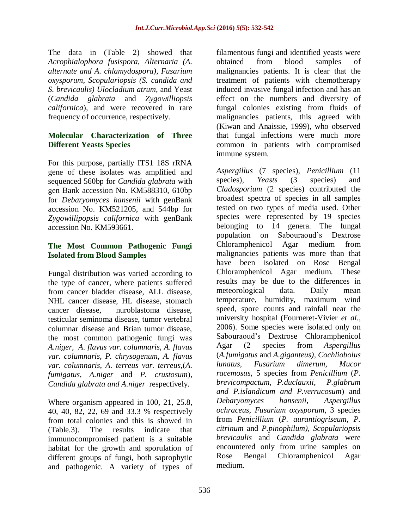The data in (Table 2) showed that *Acrophialophora fusispora, Alternaria (A. alternate and A. chlamydospora), Fusarium oxysporum, Scopulariopsis (S. candida and S. brevicaulis) Ulocladium atrum,* and Yeast (*Candida glabrata* and *Zygowilliopsis californica*), and were recovered in rare frequency of occurrence, respectively.

#### **Molecular Characterization of Three Different Yeasts Species**

For this purpose, partially ITS1 18S rRNA gene of these isolates was amplified and sequenced 560bp for *Candida glabrata* with gen Bank accession No. KM588310, 610bp for *Debaryomyces hansenii* with genBank accession No. KM521205, and 544bp for *Zygowillipopsis californica* with genBank accession No. KM593661.

## **The Most Common Pathogenic Fungi Isolated from Blood Samples**

Fungal distribution was varied according to the type of cancer, where patients suffered from cancer bladder disease, ALL disease, NHL cancer disease, HL disease, stomach cancer disease, nuroblastoma disease, testicular seminoma disease, tumor vertebral columnar disease and Brian tumor disease, the most common pathogenic fungi was *A.niger, A. flavus var. columnaris, A. flavus var. columnaris, P. chrysogenum, A. flavus var. columnaris, A. terreus var. terreus,*(*A. fumigatus, A.niger* and *P. crustosum*)*, Candida glabrata and A.niger* respectively.

Where organism appeared in 100, 21, 25.8, 40, 40, 82, 22, 69 and 33.3 % respectively from total colonies and this is showed in (Table.3). The results indicate that immunocompromised patient is a suitable habitat for the growth and sporulation of different groups of fungi, both saprophytic and pathogenic. A variety of types of

filamentous fungi and identified yeasts were obtained from blood samples of malignancies patients. It is clear that the treatment of patients with chemotherapy induced invasive fungal infection and has an effect on the numbers and diversity of fungal colonies existing from fluids of malignancies patients, this agreed with (Kiwan and Anaissie, 1999), who observed that fungal infections were much more common in patients with compromised immune system.

*Aspergillus* (7 species), *Penicillium* (11 species), *Yeasts* (3 species) and *Cladosporium* (2 species) contributed the broadest spectra of species in all samples tested on two types of media used. Other species were represented by 19 species belonging to 14 genera. The fungal population on Sabouraoud's Dextrose Chloramphenicol Agar medium from malignancies patients was more than that have been isolated on Rose Bengal Chloramphenicol Agar medium. These results may be due to the differences in meteorological data. Daily mean temperature, humidity, maximum wind speed, spore counts and rainfall near the university hospital (Fourneret-Vivier *et al.,* 2006). Some species were isolated only on Sabouraoud's Dextrose Chloramphenicol Agar (2 species from *Aspergillus* (*A.fumigatus* and *A.giganteus), Cochliobolus lunatus, Fusarium dimerum, Mucor racemosus*, 5 species from *Penicillium* (*P. brevicompactum, P.duclauxii, P.glabrum and P.islandicum and P.verrucosum*) and *Debaryomyces hansenii*, *Aspergillus ochraceus*, *Fusarium oxysporum*, 3 species from *Penicillium* (*P. aurantiogriseum, P. citrinum* and *P.pinophilum), Scopulariopsis brevicaulis* and *Candida glabrata* were encountered only from urine samples on Rose Bengal Chloramphenicol Agar medium.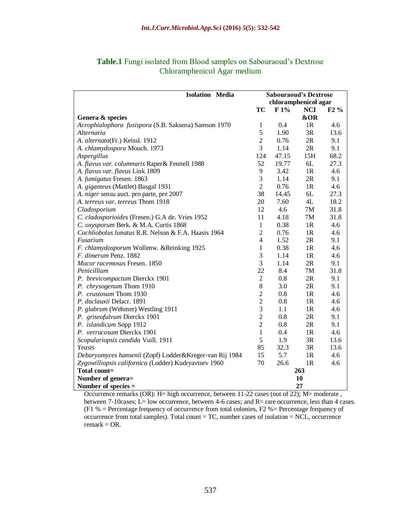| <b>Isolation Media</b>                                  | <b>Sabouraoud's Dextrose</b> |       |            |        |
|---------------------------------------------------------|------------------------------|-------|------------|--------|
|                                                         | chloramphenicol agar         |       |            |        |
|                                                         | TC                           | F1%   | <b>NCI</b> | $F2\%$ |
| Genera & species                                        |                              |       | &OR        |        |
| Acrophialophora fusispora (S.B. Saksena) Samson 1970    | 1                            | 0.4   | 1R         | 4.6    |
| Alternaria                                              | 5                            | 1.90  | 3R         | 13.6   |
| A. alternata(Fr.) Keissl. 1912                          | $\overline{2}$               | 0.76  | 2R         | 9.1    |
| A. chlamydospora Mouch. 1973                            | 3                            | 1.14  | 2R         | 9.1    |
| Aspergillus                                             | 124                          | 47.15 | 15H        | 68.2   |
| A. flavus var. columnaris Raper& Fennell 1988           | 52                           | 19.77 | 6L         | 27.3   |
| A. flavus var. flavus Link 1809                         | 9                            | 3.42  | 1R         | 4.6    |
| A. fumigatus Fresen. 1863                               | $\mathfrak{Z}$               | 1.14  | 2R         | 9.1    |
| A. giganteus (Mattlet) Basgal 1931                      | $\overline{2}$               | 0.76  | 1R         | 4.6    |
| A. niger sensu auct. pro parte, pre 2007                | 38                           | 14.45 | 6L         | 27.3   |
| A. terreus var. terreus Thom 1918                       | 20                           | 7.60  | 4L         | 18.2   |
| Cladosporium                                            | 12                           | 4.6   | 7M         | 31.8   |
| C. cladosporioides (Fresen.) G.A de. Vries 1952         | 11                           | 4.18  | 7M         | 31.8   |
| C. oxysporum Berk. & M.A. Curtis 1868                   | $\mathbf{1}$                 | 0.38  | 1R         | 4.6    |
| Cochliobolus lunatus R.R. Nelson & F.A. Haasis 1964     | $\overline{2}$               | 0.76  | 1R         | 4.6    |
| Fusarium                                                | $\overline{4}$               | 1.52  | 2R         | 9.1    |
| F. chlamydosporum Wollenw. & Reinking 1925              | $\mathbf{1}$                 | 0.38  | 1R         | 4.6    |
| F. dimerum Penz. 1882                                   | 3                            | 1.14  | 1R         | 4.6    |
| Mucor racemosus Fresen. 1850                            | 3                            | 1.14  | 2R         | 9.1    |
| Penicillium                                             | 22                           | 8.4   | 7M         | 31.8   |
| P. brevicompactum Dierckx 1901                          | $\sqrt{2}$                   | 0.8   | 2R         | 9.1    |
| P. chrysogenum Thom 1910                                | $8\,$                        | 3.0   | 2R         | 9.1    |
| P. crustosum Thom 1930                                  | $\overline{2}$               | 0.8   | 1R         | 4.6    |
| P. duclauxii Delacr. 1891                               | $\overline{2}$               | 0.8   | 1R         | 4.6    |
| P. glabrum (Wehmer) Westling 1911                       | 3                            | 1.1   | 1R         | 4.6    |
| P. griseofulvum Dierckx 1901                            | $\overline{2}$               | 0.8   | 2R         | 9.1    |
| P. islandicum Sopp 1912                                 | $\overline{2}$               | 0.8   | 2R         | 9.1    |
| P. verrucosum Dierckx 1901                              | $\mathbf{1}$                 | 0.4   | 1R         | 4.6    |
| Scopulariopsis candida Vuill. 1911                      | 5                            | 1.9   | 3R         | 13.6   |
| Yeasts                                                  | 85                           | 32.3  | 3R         | 13.6   |
| Debaryomyces hansenii (Zopf) Lodder&Kreger-van Rij 1984 | 15                           | 5.7   | 1R         | 4.6    |
| Zygowilliopsis californica (Lodder) Kudryavtsev 1960    | 70                           | 26.6  | 1R         | 4.6    |
| Total count=                                            |                              |       | 263        |        |
| Number of genera=                                       | 10                           |       |            |        |
| Number of species $=$                                   |                              |       | 27         |        |

#### **Table.1** Fungi isolated from Blood samples on Sabouraoud's Dextrose Chloramphenicol Agar medium

Occurrence remarks (OR): H= high occurrence, between 11-22 cases (out of 22); M= moderate , between 7-10cases; L= low occurrence, between 4-6 cases; and R= rare occurrence, less than 4 cases. (F1 % = Percentage frequency of occurrence from total colonies, F2 %= Percentage frequency of occurrence from total samples). Total count = TC, number cases of isolation = NCL, occurrence  $remark = OR.$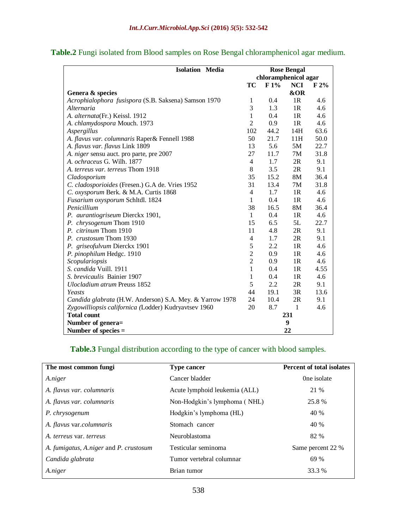| <b>Isolation Media</b>                                   | <b>Rose Bengal</b>   |      |               |      |
|----------------------------------------------------------|----------------------|------|---------------|------|
|                                                          | chloramphenicol agar |      |               |      |
|                                                          | TC                   | F1%  | <b>NCI</b>    | F 2% |
| Genera & species                                         |                      |      | &OR           |      |
| Acrophialophora fusispora (S.B. Saksena) Samson 1970     | 1                    | 0.4  | 1R            | 4.6  |
| Alternaria                                               | 3                    | 1.3  | 1R            | 4.6  |
| A. alternata(Fr.) Keissl. 1912                           | 1                    | 0.4  | 1R            | 4.6  |
| A. chlamydospora Mouch. 1973                             | $\overline{2}$       | 0.9  | 1R            | 4.6  |
| Aspergillus                                              | 102                  | 44.2 | 14H           | 63.6 |
| A. flavus var. columnaris Raper& Fennell 1988            | 50                   | 21.7 | 11H           | 50.0 |
| A. flavus var. flavus Link 1809                          | 13                   | 5.6  | 5M            | 22.7 |
| A. niger sensu auct. pro parte, pre 2007                 | 27                   | 11.7 | 7M            | 31.8 |
| A. ochraceus G. Wilh. 1877                               | $\overline{4}$       | 1.7  | 2R            | 9.1  |
| A. terreus var. terreus Thom 1918                        | 8                    | 3.5  | 2R            | 9.1  |
| Cladosporium                                             | 35                   | 15.2 | <b>8M</b>     | 36.4 |
| C. cladosporioides (Fresen.) G.A de. Vries 1952          | 31                   | 13.4 | 7M            | 31.8 |
| C. oxysporum Berk. & M.A. Curtis 1868                    | 4                    | 1.7  | 1R            | 4.6  |
| Fusarium oxysporum Schltdl. 1824                         | 1                    | 0.4  | 1R            | 4.6  |
| Penicillium                                              | 38                   | 16.5 | 8M            | 36.4 |
| P. aurantiogriseum Dierckx 1901,                         | 1                    | 0.4  | 1R            | 4.6  |
| P. chrysogenum Thom 1910                                 | 15                   | 6.5  | 5L            | 22.7 |
| P. citrinum Thom 1910                                    | 11                   | 4.8  | $2\mathrm{R}$ | 9.1  |
| P. crustosum Thom 1930                                   | $\overline{4}$       | 1.7  | 2R            | 9.1  |
| P. griseofulvum Dierckx 1901                             | 5                    | 2.2  | 1R            | 4.6  |
| P. pinophilum Hedgc. 1910                                | $\overline{c}$       | 0.9  | 1R            | 4.6  |
| Scopulariopsis                                           | $\overline{2}$       | 0.9  | 1R            | 4.6  |
| S. candida Vuill. 1911                                   | $\mathbf{1}$         | 0.4  | 1R            | 4.55 |
| S. brevicaulis Bainier 1907                              | 1                    | 0.4  | 1R            | 4.6  |
| <b>Ulocladium atrum Preuss 1852</b>                      | 5                    | 2.2  | 2R            | 9.1  |
| Yeasts                                                   | 44                   | 19.1 | 3R            | 13.6 |
| Candida glabrata (H.W. Anderson) S.A. Mey. & Yarrow 1978 | 24                   | 10.4 | 2R            | 9.1  |
| Zygowilliopsis californica (Lodder) Kudryavtsev 1960     | 20                   | 8.7  | $\mathbf{1}$  | 4.6  |
| <b>Total count</b>                                       | 231                  |      |               |      |
| Number of genera=                                        |                      |      | 9             |      |
| Number of species $=$                                    |                      |      | 22            |      |

# **Table.2** Fungi isolated from Blood samples on Rose Bengal chloramphenicol agar medium.

# **Table.3** Fungal distribution according to the type of cancer with blood samples.

| The most common fungi                  | <b>Type cancer</b>            | <b>Percent of total isolates</b> |
|----------------------------------------|-------------------------------|----------------------------------|
| A.niger                                | Cancer bladder                | One isolate                      |
| A. flavus var. columnaris              | Acute lymphoid leukemia (ALL) | 21 %                             |
| A. flavus var. columnaris              | Non-Hodgkin's lymphoma (NHL)  | 25.8%                            |
| P. chrysogenum                         | Hodgkin's lymphoma (HL)       | 40 %                             |
| A. flavus var.columnaris               | Stomach cancer                | 40 %                             |
| A. terreus var. terreus                | Neuroblastoma                 | 82 %                             |
| A. fumigatus, A.niger and P. crustosum | Testicular seminoma           | Same percent 22 %                |
| Candida glabrata                       | Tumor vertebral columnar      | 69 %                             |
| A.niger                                | Brian tumor                   | 33.3 %                           |
|                                        |                               |                                  |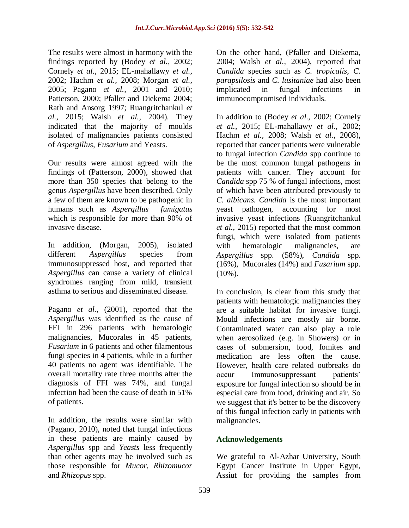The results were almost in harmony with the findings reported by (Bodey *et al.,* 2002; Cornely *et al.,* 2015; EL-mahallawy *et al.,* 2002; Hachm *et al.,* 2008; Morgan *et al.,* 2005; Pagano *et al.,* 2001 and 2010; Patterson, 2000; Pfaller and Diekema 2004; Rath and Ansorg 1997; Ruangritchankul *et al.,* 2015; Walsh *et al.,* 2004). They indicated that the majority of moulds isolated of malignancies patients consisted of *Aspergillus, Fusarium* and Yeasts.

Our results were almost agreed with the findings of (Patterson, 2000), showed that more than 350 species that belong to the genus *Aspergillus* have been described. Only a few of them are known to be pathogenic in humans such as *Aspergillus fumigatus* which is responsible for more than 90% of invasive disease.

In addition, (Morgan, 2005), isolated different *Aspergillus* species from immunosuppressed host, and reported that *Aspergillus* can cause a variety of clinical syndromes ranging from mild, transient asthma to serious and disseminated disease.

Pagano *et al.,* (2001), reported that the *Aspergillus* was identified as the cause of FFI in 296 patients with hematologic malignancies, Mucorales in 45 patients, *Fusarium* in 6 patients and other filamentous fungi species in 4 patients, while in a further 40 patients no agent was identifiable. The overall mortality rate three months after the diagnosis of FFI was 74%, and fungal infection had been the cause of death in 51% of patients.

In addition, the results were similar with (Pagano, 2010), noted that fungal infections in these patients are mainly caused by *Aspergillus* spp and *Yeasts* less frequently than other agents may be involved such as those responsible for *Mucor, Rhizomucor* and *Rhizopus* spp.

On the other hand, (Pfaller and Diekema, 2004; Walsh *et al.,* 2004), reported that *Candida* species such as *C. tropicalis, C. parapsilosis* and *C. lusitaniae* had also been implicated in fungal infections in immunocompromised individuals.

In addition to (Bodey *et al.,* 2002; Cornely *et al.,* 2015; EL-mahallawy *et al.,* 2002; Hachm *et al.,* 2008; Walsh *et al.,* 2008), reported that cancer patients were vulnerable to fungal infection *Candida* spp continue to be the most common fungal pathogens in patients with cancer. They account for *Candida* spp 75 % of fungal infections, most of which have been attributed previously to *C. albicans. Candida* is the most important yeast pathogen, accounting for most invasive yeast infections (Ruangritchankul *et al.,* 2015) reported that the most common fungi, which were isolated from patients with hematologic malignancies, are *Aspergillus* spp. (58%), *Candida* spp. (16%), Mucorales (14%) and *Fusarium* spp.  $(10\%)$ .

In conclusion, Is clear from this study that patients with hematologic malignancies they are a suitable habitat for invasive fungi. Mould infections are mostly air borne. Contaminated water can also play a role when aerosolized (e.g. in Showers) or in cases of submersion, food, fomites and medication are less often the cause. However, health care related outbreaks do occur Immunosuppressant patients' exposure for fungal infection so should be in especial care from food, drinking and air. So we suggest that it's better to be the discovery of this fungal infection early in patients with malignancies.

# **Acknowledgements**

We grateful to Al-Azhar University, South Egypt Cancer Institute in Upper Egypt, Assiut for providing the samples from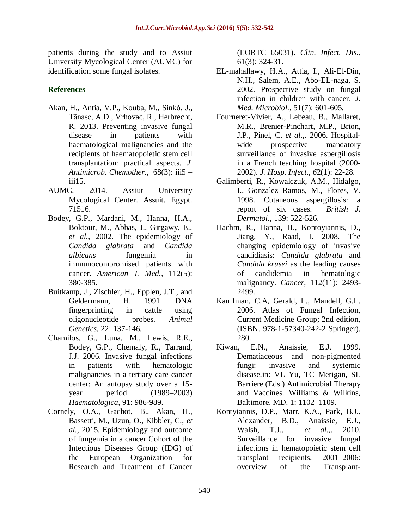patients during the study and to Assiut University Mycological Center (AUMC) for identification some fungal isolates.

# **References**

- Akan, H., Antia, V.P., Kouba, M., Sinkó, J., Tănase, A.D., Vrhovac, R., Herbrecht, R. 2013. Preventing invasive fungal disease in patients with haematological malignancies and the recipients of haematopoietic stem cell transplantation: practical aspects. *J. Antimicrob. Chemother.,* 68(3): iii5 – iii15.
- AUMC. 2014. Assiut University Mycological Center. Assuit. Egypt. 71516.
- Bodey, G.P., Mardani, M., Hanna, H.A., Boktour, M., Abbas, J., Girgawy, E., *et al.,* 2002. The epidemiology of *Candida glabrata* and *Candida albicans* fungemia in immunocompromised patients with cancer. *American J. Med.,* 112(5): 380-385.
- Buitkamp, J., Zischler, H., Epplen, J.T., and Geldermann, H. 1991. DNA fingerprinting in cattle using oligonucleotide probes. *Animal Genetics,* 22: 137-146.
- Chamilos, G., Luna, M., Lewis, R.E., Bodey, G.P., Chemaly, R., Tarrand, J.J. 2006. Invasive fungal infections in patients with hematologic malignancies in a tertiary care cancer center: An autopsy study over a 15 year period (1989–2003) *Haematologica,* 91: 986-989.
- Cornely, O.A., Gachot, B., Akan, H., Bassetti, M., Uzun, O., Kibbler, C., *et al.,* 2015. Epidemiology and outcome of fungemia in a cancer Cohort of the Infectious Diseases Group (IDG) of the European Organization for Research and Treatment of Cancer

(EORTC 65031). *Clin. Infect. Dis.,*  61(3): 324-31.

- EL-mahallawy, H.A., Attia, I., Ali-El-Din, N.H., Salem, A.E., Abo-EL-naga, S. 2002. Prospective study on fungal infection in children with cancer. *J. Med. Microbiol.*, 51(7): 601-605.
- Fourneret-Vivier, A., Lebeau, B., Mallaret, M.R., Brenier-Pinchart, M.P., Brion, J.P., Pinel, C. *et al.,*. 2006. Hospitalwide prospective mandatory surveillance of invasive aspergillosis in a French teaching hospital (2000- 2002). *J. Hosp. Infect., 6*2(1): 22-28.
- Galimberti, R., Kowalczuk, A.M., Hidalgo, I., Gonzalez Ramos, M., Flores, V. 1998. Cutaneous aspergillosis: a report of six cases. *British J. Dermatol.,* 139: 522-526.
- Hachm, R., Hanna, H., Kontoyiannis, D., Jiang, Y., Raad, I. 2008. The changing epidemiology of invasive candidiasis: *Candida glabrata* and *Candida krusei* as the leading causes of candidemia in hematologic malignancy. *Cancer,* 112(11): 2493- 2499.
- Kauffman, C.A, Gerald, L., Mandell, G.L. 2006. Atlas of Fungal Infection, Current Medicine Group; 2nd edition, (ISBN. 978-1-57340-242-2 Springer). 280.
- Kiwan, E.N., Anaissie, E.J. 1999. Dematiaceous and non-pigmented fungi: invasive and systemic disease.in: VL Yu, TC Merigan, SL Barriere (Eds.) Antimicrobial Therapy and Vaccines. Williams & Wilkins, Baltimore, MD. 1: 1102–1109.
- Kontyiannis, D.P., Marr, K.A., Park, B.J., Alexander, B.D., Anaissie, E.J., Walsh, T.J., *et al.,*. 2010. Surveillance for invasive fungal infections in hematopoietic stem cell transplant recipients, 2001–2006: overview of the Transplant-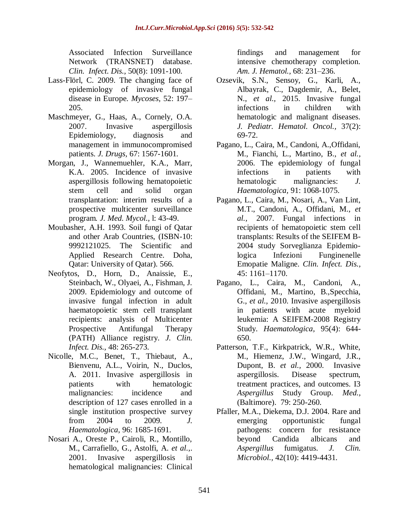Associated Infection Surveillance Network (TRANSNET) database. *Clin. Infect. Dis.,* 50(8): 1091-100.

- Lass-Flörl, C. 2009. The changing face of epidemiology of invasive fungal disease in Europe*. Mycoses,* 52: 197– 205.
- Maschmeyer, G., Haas, A., Cornely, O.A. 2007. Invasive aspergillosis Epidemiology, diagnosis and management in immunocompromised patients. *J. Drugs,* 67: 1567-1601.
- Morgan, J., Wannemuehler, K.A., Marr, K.A. 2005. Incidence of invasive aspergillosis following hematopoietic stem cell and solid organ transplantation: interim results of a prospective multicenter surveillance program*. J. Med. Mycol.,* l: 43-49.
- Moubasher, A.H. 1993. Soil fungi of Qatar and other Arab Countries, (ISBN-10: 9992121025. The Scientific and Applied Research Centre. Doha, Qatar: University of Qatar). 566.
- Neofytos, D., Horn, D., Anaissie, E., Steinbach, W., Olyaei, A., Fishman, J. 2009. Epidemiology and outcome of invasive fungal infection in adult haematopoietic stem cell transplant recipients: analysis of Multicenter Prospective Antifungal Therapy (PATH) Alliance registry. *J. Clin. Infect. Dis.,* 48: 265-273.
- Nicolle, M.C., Benet, T., Thiebaut, A., Bienvenu, A.L., Voirin, N., Duclos, A. 2011. Invasive aspergillosis in patients with hematologic malignancies: incidence and description of 127 cases enrolled in a single institution prospective survey from 2004 to 2009. *J. Haematologica,* 96: 1685-1691.
- Nosari A., Oreste P., Cairoli, R., Montillo, M., Carrafiello, G., Astolfi, A. *et al.,*. 2001. Invasive aspergillosis in hematological malignancies: Clinical

findings and management for intensive chemotherapy completion. *Am. J. Hematol.,* 68: 231–236.

- Ozsevik, S.N., Sensoy, G., Karli, A., Albayrak, C., Dagdemir, A., Belet, N., *et al.,* 2015. Invasive fungal infections in children with hematologic and malignant diseases. *J. Pediatr. Hematol. Oncol.,* 37(2): 69-72.
- Pagano, L., Caira, M., Candoni, A.,Offidani, M., Fianchi, L., Martino, B., *et al.,* 2006. The epidemiology of fungal infections in patients with hematologic malignancies: *J. Haematologica,* 91: 1068-1075.
- Pagano, L., Caira, M., Nosari, A., Van Lint, M.T., Candoni, A., Offidani, M., *et al.,* 2007. Fungal infections in recipients of hematopoietic stem cell transplants: Results of the SEIFEM B-2004 study Sorveglianza Epidemiologica Infezioni Funginenelle Emopatie Maligne. *Clin. Infect. Dis.,* 45: 1161–1170.
- Pagano, L., Caira, M., Candoni, A., Offidani, M., Martino, B.,Specchia, G., *et al.,* 2010. Invasive aspergillosis in patients with acute myeloid leukemia: A SEIFEM-2008 Registry Study. *Haematologica,* 95(4): 644- 650.
- Patterson, T.F., Kirkpatrick, W.R., White, M., Hiemenz, J.W., Wingard, J.R., Dupont, B. *et al.,* 2000. Invasive aspergillosis. Disease spectrum, treatment practices, and outcomes. I3 *Aspergillus* Study Group. *Med.,*  (Baltimore). 79: 250-260.
- Pfaller, M.A., Diekema, D.J. 2004. Rare and emerging opportunistic fungal pathogens: concern for resistance beyond Candida albicans and *Aspergillus* fumigatus. *J. Clin. Microbiol.,* 42(10): 4419-4431.